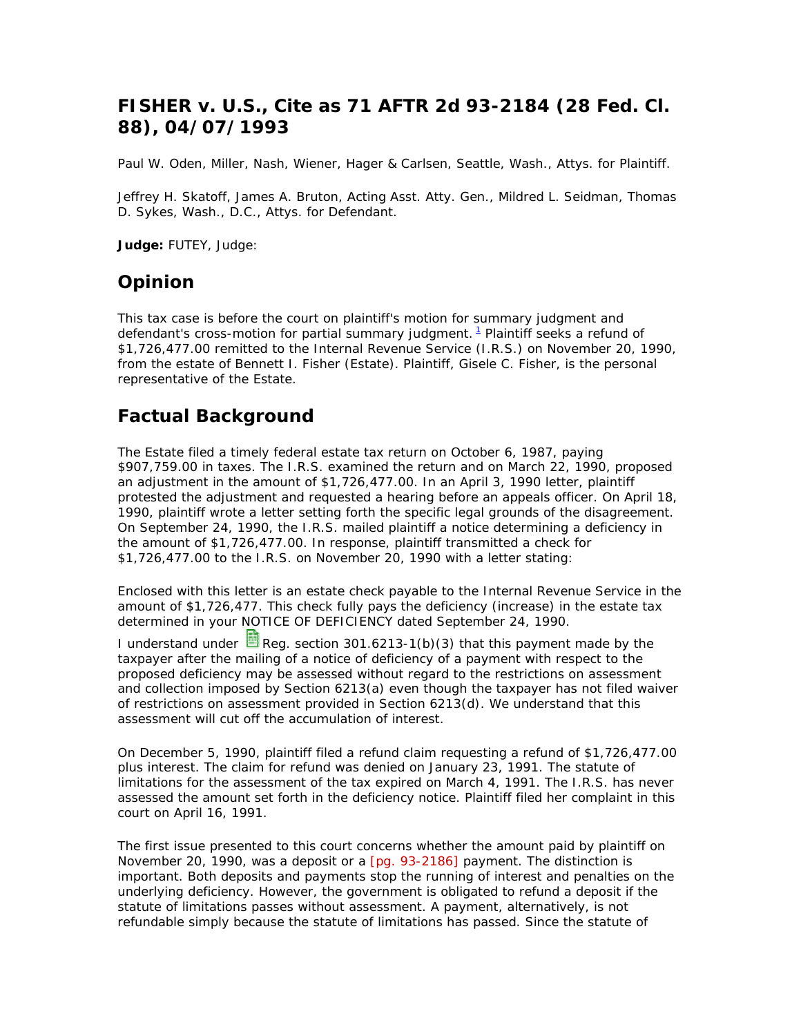# **FISHER v. U.S., Cite as 71 AFTR 2d 93-2184 (28 Fed. Cl. 88), 04/07/1993**

Paul W. Oden, Miller, Nash, Wiener, Hager & Carlsen, Seattle, Wash., Attys. for Plaintiff.

Jeffrey H. Skatoff, James A. Bruton, Acting Asst. Atty. Gen., Mildred L. Seidman, Thomas D. Sykes, Wash., D.C., Attys. for Defendant.

**Judge:** FUTEY, Judge:

### **Opinion**

This tax case is before the court on plaintiff's motion for summary judgment and defendant's cross-motion for partial summary judgment. <sup>1</sup> Plaintiff seeks a refund of \$1,726,477.00 remitted to the Internal Revenue Service (I.R.S.) on November 20, 1990, from the estate of Bennett I. Fisher (Estate). Plaintiff, Gisele C. Fisher, is the personal representative of the Estate.

## **Factual Background**

The Estate filed a timely federal estate tax return on October 6, 1987, paying \$907,759.00 in taxes. The I.R.S. examined the return and on March 22, 1990, proposed an adjustment in the amount of \$1,726,477.00. In an April 3, 1990 letter, plaintiff protested the adjustment and requested a hearing before an appeals officer. On April 18, 1990, plaintiff wrote a letter setting forth the specific legal grounds of the disagreement. On September 24, 1990, the I.R.S. mailed plaintiff a notice determining a deficiency in the amount of \$1,726,477.00. In response, plaintiff transmitted a check for \$1,726,477.00 to the I.R.S. on November 20, 1990 with a letter stating:

Enclosed with this letter is an estate check payable to the Internal Revenue Service in the amount of \$1,726,477. This check fully pays the deficiency (increase) in the estate tax determined in your NOTICE OF DEFICIENCY dated September 24, 1990.

I understand under  $\blacksquare$  Reg. section 301.6213-1(b)(3) that this payment made by the taxpayer after the mailing of a notice of deficiency of a payment with respect to the proposed deficiency may be assessed without regard to the restrictions on assessment and collection imposed by Section 6213(a) even though the taxpayer has not filed waiver of restrictions on assessment provided in Section 6213(d). We understand that this assessment will cut off the accumulation of interest.

On December 5, 1990, plaintiff filed a refund claim requesting a refund of \$1,726,477.00 plus interest. The claim for refund was denied on January 23, 1991. The statute of limitations for the assessment of the tax expired on March 4, 1991. The I.R.S. has never assessed the amount set forth in the deficiency notice. Plaintiff filed her complaint in this court on April 16, 1991.

The first issue presented to this court concerns whether the amount paid by plaintiff on November 20, 1990, was a deposit or a [pg. 93-2186] payment. The distinction is important. Both deposits and payments stop the running of interest and penalties on the underlying deficiency. However, the government is obligated to refund a deposit if the statute of limitations passes without assessment. A payment, alternatively, is not refundable simply because the statute of limitations has passed. Since the statute of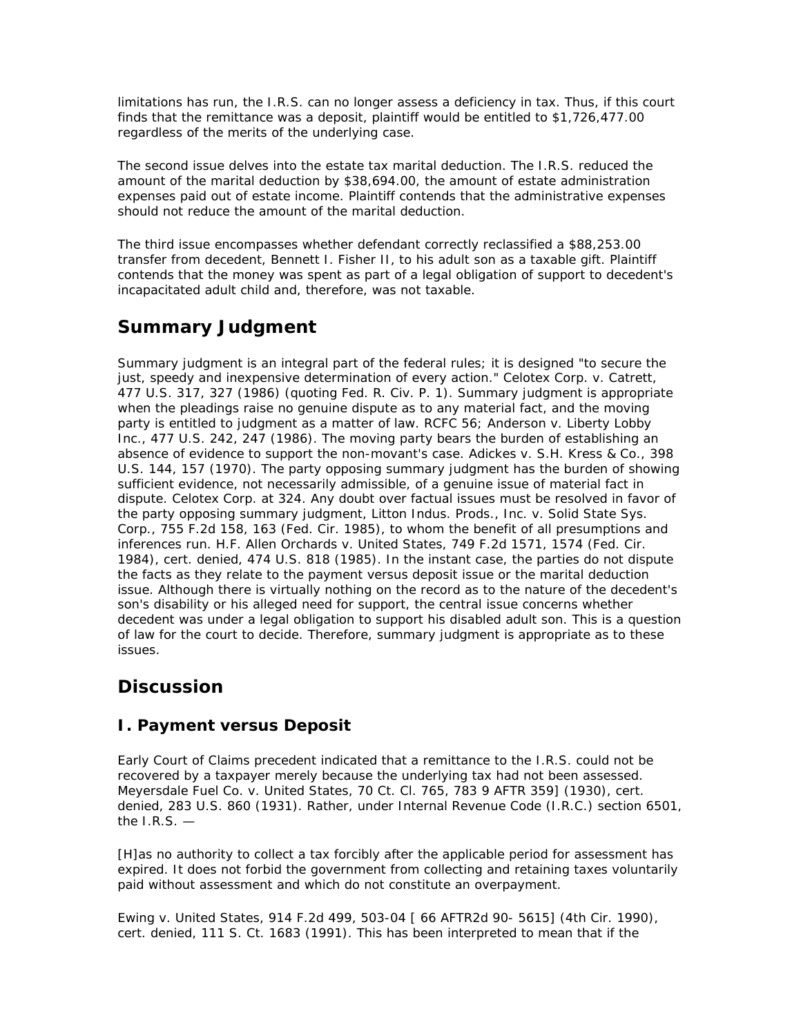limitations has run, the I.R.S. can no longer assess a deficiency in tax. Thus, if this court finds that the remittance was a deposit, plaintiff would be entitled to \$1,726,477.00 regardless of the merits of the underlying case.

The second issue delves into the estate tax marital deduction. The I.R.S. reduced the amount of the marital deduction by \$38,694.00, the amount of estate administration expenses paid out of estate income. Plaintiff contends that the administrative expenses should not reduce the amount of the marital deduction.

The third issue encompasses whether defendant correctly reclassified a \$88,253.00 transfer from decedent, Bennett I. Fisher II, to his adult son as a taxable gift. Plaintiff contends that the money was spent as part of a legal obligation of support to decedent's incapacitated adult child and, therefore, was not taxable.

# **Summary Judgment**

Summary judgment is an integral part of the federal rules; it is designed "to secure the just, speedy and inexpensive determination of every action." Celotex Corp. v. Catrett, 477 U.S. 317, 327 (1986) (quoting Fed. R. Civ. P. 1). Summary judgment is appropriate when the pleadings raise no genuine dispute as to any material fact, and the moving party is entitled to judgment as a matter of law. RCFC 56; Anderson v. Liberty Lobby Inc., 477 U.S. 242, 247 (1986). The moving party bears the burden of establishing an absence of evidence to support the non-movant's case. Adickes v. S.H. Kress & Co., 398 U.S. 144, 157 (1970). The party opposing summary judgment has the burden of showing sufficient evidence, not necessarily admissible, of a genuine issue of material fact in dispute. Celotex Corp. at 324. Any doubt over factual issues must be resolved in favor of the party opposing summary judgment, Litton Indus. Prods., Inc. v. Solid State Sys. Corp., 755 F.2d 158, 163 (Fed. Cir. 1985), to whom the benefit of all presumptions and inferences run. H.F. Allen Orchards v. United States, 749 F.2d 1571, 1574 (Fed. Cir. 1984), cert. denied, 474 U.S. 818 (1985). In the instant case, the parties do not dispute the facts as they relate to the payment versus deposit issue or the marital deduction issue. Although there is virtually nothing on the record as to the nature of the decedent's son's disability or his alleged need for support, the central issue concerns whether decedent was under a legal obligation to support his disabled adult son. This is a question of law for the court to decide. Therefore, summary judgment is appropriate as to these issues.

# **Discussion**

#### **I. Payment versus Deposit**

Early Court of Claims precedent indicated that a remittance to the I.R.S. could not be recovered by a taxpayer merely because the underlying tax had not been assessed. Meyersdale Fuel Co. v. United States, 70 Ct. Cl. 765, 783 9 AFTR 359] (1930), cert. denied, 283 U.S. 860 (1931). Rather, under Internal Revenue Code (I.R.C.) section 6501, the  $I.R.S.$  —

[H]as no authority to collect a tax forcibly after the applicable period for assessment has expired. It does not forbid the government from collecting and retaining taxes voluntarily paid without assessment and which do not constitute an overpayment.

Ewing v. United States, 914 F.2d 499, 503-04 [ 66 AFTR2d 90- 5615] (4th Cir. 1990), cert. denied, 111 S. Ct. 1683 (1991). This has been interpreted to mean that if the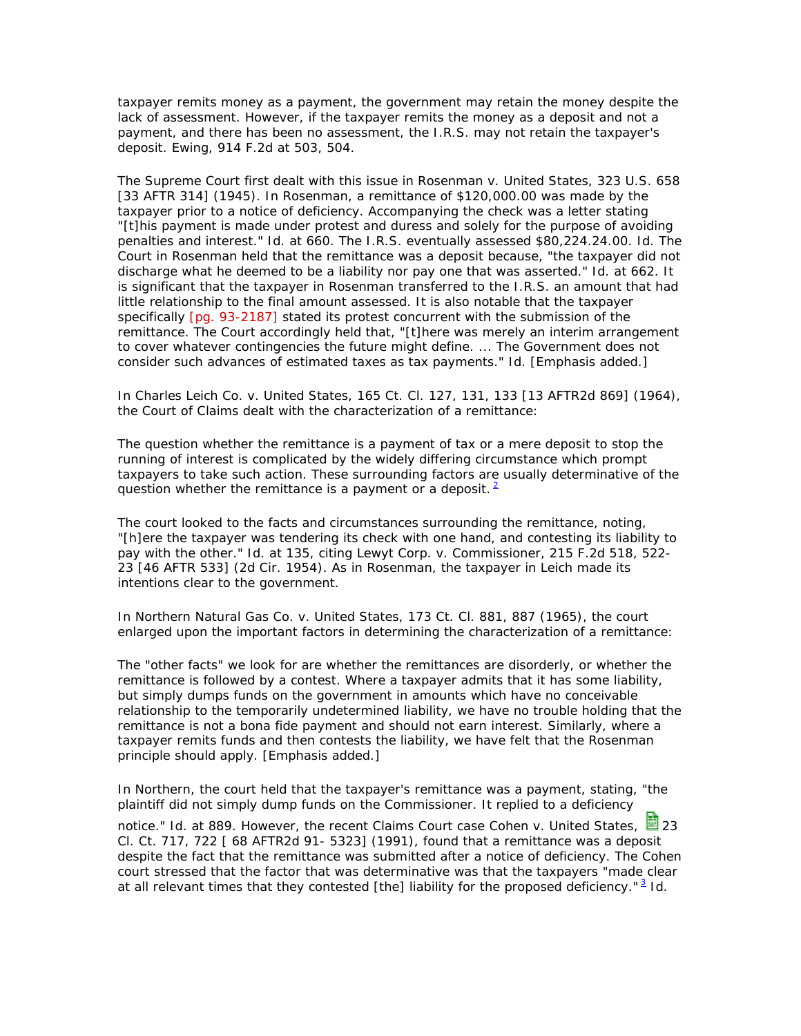taxpayer remits money as a payment, the government may retain the money despite the lack of assessment. However, if the taxpayer remits the money as a deposit and *not* a payment, and there has been no assessment, the I.R.S. may not retain the taxpayer's deposit. Ewing, 914 F.2d at 503, 504.

The Supreme Court first dealt with this issue in Rosenman v. United States, 323 U.S. 658 [33 AFTR 314] (1945). In Rosenman, a remittance of \$120,000.00 was made by the taxpayer prior to a notice of deficiency. Accompanying the check was a letter stating "[t]his payment is made under protest and duress and solely for the purpose of avoiding penalties and interest." Id. at 660. The I.R.S. eventually assessed \$80,224.24.00. Id. The Court in Rosenman held that the remittance was a deposit because, "the taxpayer did not discharge what he deemed to be a liability nor pay one that was asserted." Id. at 662. It is significant that the taxpayer in Rosenman transferred to the I.R.S. an amount that had little relationship to the final amount assessed. It is also notable that the taxpayer specifically [pg. 93-2187] stated its protest concurrent with the submission of the remittance. The Court accordingly held that, "[t]here was merely an interim arrangement to cover whatever contingencies the future might define. ... The Government does not consider such advances of *estimated taxes* as tax payments." Id. [Emphasis added.]

In Charles Leich Co. v. United States, 165 Ct. Cl. 127, 131, 133 [13 AFTR2d 869] (1964), the Court of Claims dealt with the characterization of a remittance:

The question whether the remittance is a payment of tax or a mere deposit to stop the running of interest is complicated by the widely differing circumstance which prompt taxpayers to take such action. These surrounding factors are usually determinative of the question whether the remittance is a payment or a deposit.  $2^2$ 

The court looked to the facts and circumstances surrounding the remittance, noting, "[h]ere the taxpayer was tendering its check with one hand, and contesting its liability to pay with the other." Id. at 135, citing Lewyt Corp. v. Commissioner, 215 F.2d 518, 522- 23 [46 AFTR 533] (2d Cir. 1954). As in Rosenman, the taxpayer in Leich made its intentions clear to the government.

In Northern Natural Gas Co. v. United States, 173 Ct. Cl. 881, 887 (1965), the court enlarged upon the important factors in determining the characterization of a remittance:

The "other facts" we look for are whether the remittances are disorderly, or whether the remittance is followed by a contest. Where a taxpayer admits that it has some liability, but simply dumps funds on the government in amounts which have no conceivable relationship to the temporarily undetermined liability, we have no trouble holding that the remittance is not a bona fide payment and should not earn interest. Similarly, where a taxpayer remits funds *and then* contests the liability, we have felt that the Rosenman principle should apply. [Emphasis added.]

In Northern, the court held that the taxpayer's remittance was a payment, stating, "the plaintiff did not simply dump funds on the Commissioner. It replied to a deficiency

notice." Id. at 889. However, the recent Claims Court case Cohen v. United States, 23 Cl. Ct. 717, 722 [ 68 AFTR2d 91- 5323] (1991), found that a remittance was a deposit despite the fact that the remittance was submitted after a notice of deficiency. The Cohen court stressed that the factor that was determinative was that the taxpayers "made clear at all relevant times that they contested [the] liability for the proposed deficiency."<sup>3</sup> Id.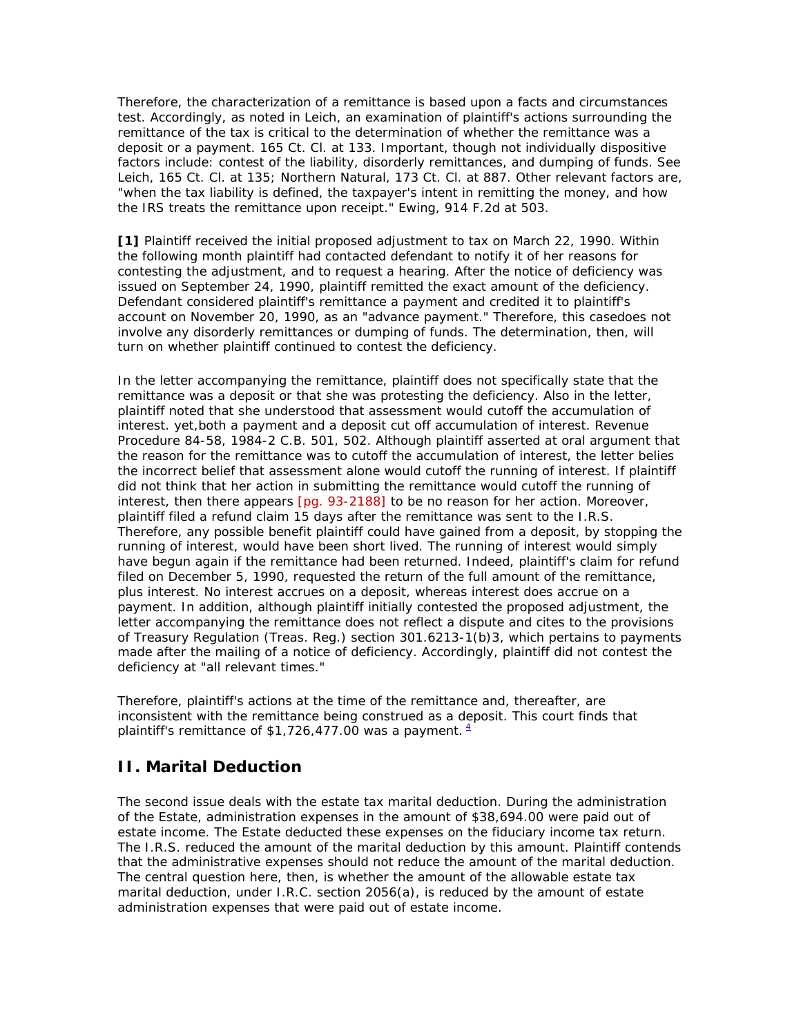Therefore, the characterization of a remittance is based upon a facts and circumstances test. Accordingly, as noted in Leich, an examination of plaintiff's actions surrounding the remittance of the tax is critical to the determination of whether the remittance was a deposit or a payment. 165 Ct. Cl. at 133. Important, though not individually dispositive factors include: contest of the liability, disorderly remittances, and dumping of funds. See Leich, 165 Ct. Cl. at 135; Northern Natural, 173 Ct. Cl. at 887. Other relevant factors are, "when the tax liability is defined, the taxpayer's intent in remitting the money, and how the IRS treats the remittance upon receipt." Ewing, 914 F.2d at 503.

**[1]** Plaintiff received the initial proposed adjustment to tax on March 22, 1990. Within the following month plaintiff had contacted defendant to notify it of her reasons for contesting the adjustment, and to request a hearing. After the notice of deficiency was issued on September 24, 1990, plaintiff remitted the exact amount of the deficiency. Defendant considered plaintiff's remittance a payment and credited it to plaintiff's account on November 20, 1990, as an "advance payment." Therefore, this case*does not* involve any disorderly remittances or dumping of funds. The determination, then, will turn on whether plaintiff continued to contest the deficiency.

In the letter accompanying the remittance, plaintiff does not specifically state that the remittance was a deposit or that she was protesting the deficiency. Also in the letter, plaintiff noted that she understood that assessment would cutoff the accumulation of interest. yet,*both* a payment and a deposit cut off accumulation of interest. Revenue Procedure 84-58, 1984-2 C.B. 501, 502. Although plaintiff asserted at oral argument that the reason for the remittance was to cutoff the accumulation of interest, the letter belies the incorrect belief that assessment alone would cutoff the running of interest. If plaintiff did not think that her action in submitting the remittance would cutoff the running of interest, then there appears [pg. 93-2188] to be no reason for her action. Moreover, plaintiff filed a refund claim 15 days after the remittance was sent to the I.R.S. Therefore, any possible benefit plaintiff could have gained from a deposit, by stopping the running of interest, would have been short lived. The running of interest would simply have begun again if the remittance had been returned. Indeed, plaintiff's claim for refund filed on December 5, 1990, requested the return of the full amount of the remittance, *plus interest.* No interest accrues on a deposit, whereas interest does accrue on a payment. In addition, although plaintiff initially contested the proposed adjustment, the letter accompanying the remittance does not reflect a dispute and cites to the provisions of Treasury Regulation (Treas. Reg.) section 301.6213-1(b)3, which pertains to *payments* made after the mailing of a notice of deficiency. Accordingly, plaintiff did not contest the deficiency at "all relevant times."

Therefore, plaintiff's actions at the time of the remittance and, thereafter, are inconsistent with the remittance being construed as a deposit. This court finds that plaintiff's remittance of \$1,726,477.00 was a payment.  $4$ 

#### **II. Marital Deduction**

The second issue deals with the estate tax marital deduction. During the administration of the Estate, administration expenses in the amount of \$38,694.00 were paid out of estate income. The Estate deducted these expenses on the fiduciary income tax return. The I.R.S. reduced the amount of the marital deduction by this amount. Plaintiff contends that the administrative expenses should not reduce the amount of the marital deduction. The central question here, then, is whether the amount of the allowable estate tax marital deduction, under I.R.C. section 2056(a), is reduced by the amount of estate administration expenses that were paid out of estate income.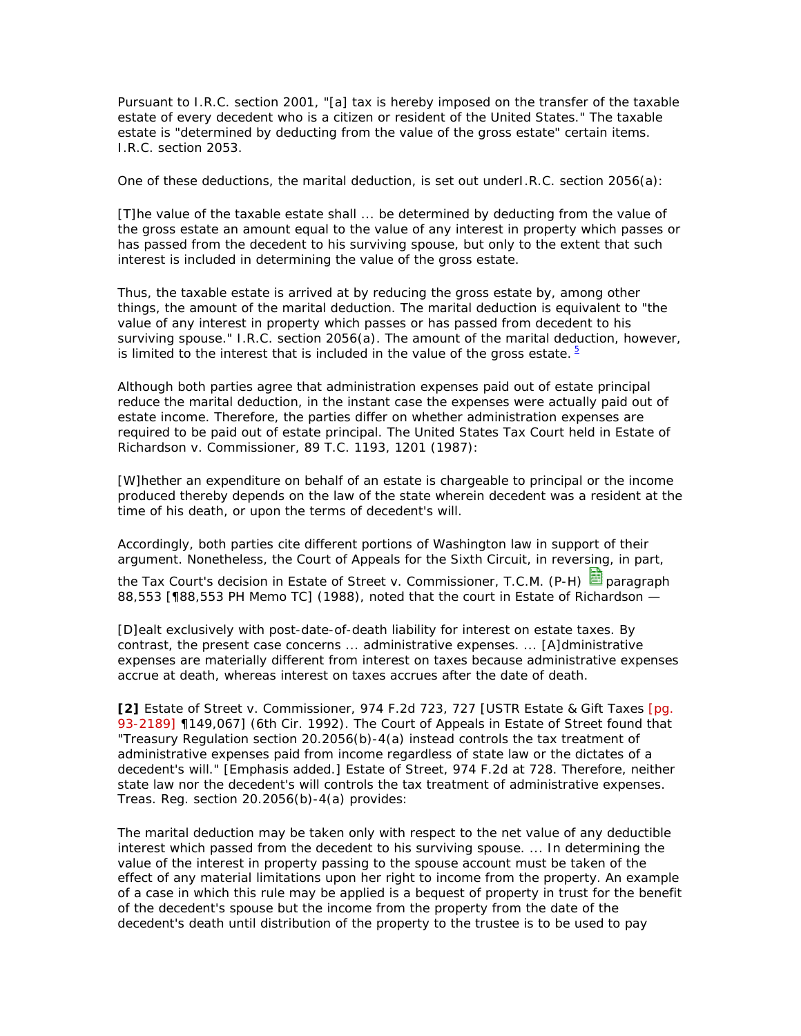Pursuant to I.R.C. section 2001, "[a] tax is hereby imposed on the transfer of the taxable estate of every decedent who is a citizen or resident of the United States." The taxable estate is "determined by deducting from the value of the gross estate" certain items. I.R.C. section 2053.

One of these deductions, the marital deduction, is set out underI.R.C. section 2056(a):

[T]he value of the taxable estate shall ... be determined by deducting from the value of the gross estate an amount equal to the value of any interest in property which passes or has passed from the decedent to his surviving spouse, but only to the extent that such interest is included in determining the value of the gross estate.

Thus, the taxable estate is arrived at by reducing the gross estate by, among other things, the amount of the marital deduction. The marital deduction is equivalent to "the value of any interest in property which passes or has passed from decedent to his surviving spouse." I.R.C. section 2056(a). The amount of the marital deduction, however, is limited to the interest that is included in the value of the gross estate.  $5$ 

Although both parties agree that administration expenses paid out of estate principal reduce the marital deduction, in the instant case the expenses were actually paid out of estate income. Therefore, the parties differ on whether administration expenses are required to be paid out of estate principal. The United States Tax Court held in Estate of Richardson v. Commissioner, 89 T.C. 1193, 1201 (1987):

[W]hether an expenditure on behalf of an estate is chargeable to principal or the income produced thereby depends on the law of the state wherein decedent was a resident at the time of his death, or upon the terms of decedent's will.

Accordingly, both parties cite different portions of Washington law in support of their argument. Nonetheless, the Court of Appeals for the Sixth Circuit, in reversing, in part, the Tax Court's decision in Estate of Street v. Commissioner, T.C.M. (P-H) **国** paragraph 88,553 [¶88,553 PH Memo TC] (1988), noted that the court in Estate of Richardson —

[D]ealt exclusively with post-date-of-death liability for interest on estate taxes. By contrast, the present case concerns ... administrative expenses. ... [A]dministrative expenses are materially different from interest on taxes because administrative expenses accrue at death, whereas interest on taxes accrues after the date of death.

**[2]** Estate of Street v. Commissioner, 974 F.2d 723, 727 [USTR Estate & Gift Taxes [pg. 93-2189] ¶149,067] (6th Cir. 1992). The Court of Appeals in Estate of Street found that "Treasury Regulation section 20.2056(b)-4(a) instead controls the tax treatment of administrative expenses paid from income *regardless of state law or the dictates of a decedent's will."* [Emphasis added.] Estate of Street, 974 F.2d at 728. Therefore, neither state law nor the decedent's will controls the tax treatment of administrative expenses. Treas. Reg. section 20.2056(b)-4(a) provides:

The marital deduction may be taken only with respect to the net value of any deductible interest which passed from the decedent to his surviving spouse. ... In determining the value of the interest in property passing to the spouse *account must be taken of the effect of any material limitations upon her right to income from the property.* An example of a case in which this rule may be applied is a bequest of property in trust for the benefit of the decedent's spouse but the income from the property from the date of the decedent's death until distribution of the property to the trustee is to be used *to pay*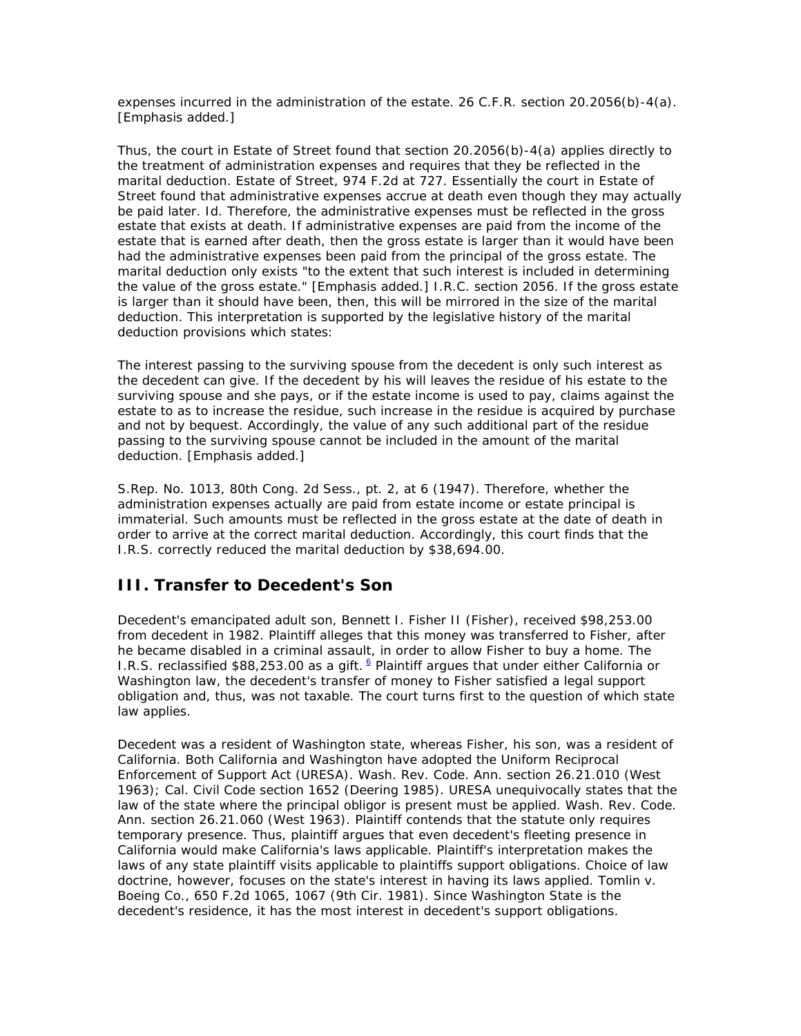*expenses incurred in the administration of the estate.* 26 C.F.R. section 20.2056(b)-4(a). [Emphasis added.]

Thus, the court in Estate of Street found that section 20.2056(b)-4(a) applies directly to the treatment of administration expenses and requires that they be reflected in the marital deduction. Estate of Street, 974 F.2d at 727. Essentially the court in Estate of Street found that administrative expenses accrue at death even though they may actually be paid later. Id. Therefore, the administrative expenses must be reflected in the gross estate that exists at death. If administrative expenses are paid from the income of the estate that is earned after death, then the gross estate is larger than it would have been had the administrative expenses been paid from the principal of the gross estate. The marital deduction only exists "*to the extent that such interest is included in determining the value of the gross estate.*" [Emphasis added.] I.R.C. section 2056. If the gross estate is larger than it should have been, then, this will be mirrored in the size of the marital deduction. This interpretation is supported by the legislative history of the marital deduction provisions which states:

The interest passing to the surviving spouse from the decedent is only such interest as the decedent can give. If the decedent by his will leaves the residue of his estate to the surviving spouse and she pays, or *if the estate income is used to pay, claims against the estate to as to increase the residue,* such increase in the residue is acquired by purchase and not by bequest. Accordingly, the value of any such additional part of the residue passing to the surviving spouse cannot be included in the amount of the marital deduction. [Emphasis added.]

S.Rep. No. 1013, 80th Cong. 2d Sess., pt. 2, at 6 (1947). Therefore, whether the administration expenses actually are paid from estate income or estate principal is immaterial. Such amounts must be reflected in the gross estate at the date of death in order to arrive at the correct marital deduction. Accordingly, this court finds that the I.R.S. correctly reduced the marital deduction by \$38,694.00.

#### **III. Transfer to Decedent's Son**

Decedent's emancipated adult son, Bennett I. Fisher II (Fisher), received \$98,253.00 from decedent in 1982. Plaintiff alleges that this money was transferred to Fisher, after he became disabled in a criminal assault, in order to allow Fisher to buy a home. The I.R.S. reclassified \$88,253.00 as a gift.  $6$  Plaintiff argues that under either California or Washington law, the decedent's transfer of money to Fisher satisfied a legal support obligation and, thus, was not taxable. The court turns first to the question of which state law applies.

Decedent was a resident of Washington state, whereas Fisher, his son, was a resident of California. Both California and Washington have adopted the Uniform Reciprocal Enforcement of Support Act (URESA). Wash. Rev. Code. Ann. section 26.21.010 (West 1963); Cal. Civil Code section 1652 (Deering 1985). URESA unequivocally states that the law of the state where the principal obligor is present must be applied. Wash. Rev. Code. Ann. section 26.21.060 (West 1963). Plaintiff contends that the statute only requires temporary presence. Thus, plaintiff argues that even decedent's fleeting presence in California would make California's laws applicable. Plaintiff's interpretation makes the laws of any state plaintiff visits applicable to plaintiffs support obligations. Choice of law doctrine, however, focuses on the state's interest in having its laws applied. Tomlin v. Boeing Co., 650 F.2d 1065, 1067 (9th Cir. 1981). Since Washington State is the decedent's residence, it has the most interest in decedent's support obligations.